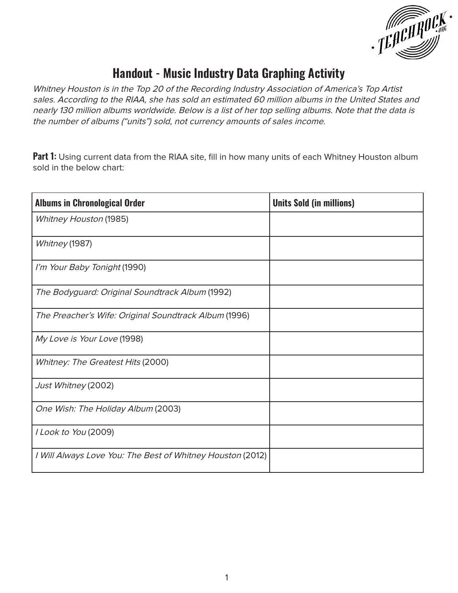

## **Handout - Music Industry Data Graphing Activity**

Whitney Houston is in the Top 20 of the Recording Industry Association of America's Top Artist sales. According to the RIAA, she has sold an estimated 60 million albums in the United States and nearly 130 million albums worldwide. Below is a list of her top selling albums. Note that the data is the number of albums ("units") sold, not currency amounts of sales income.

**Part 1:** Using current data from the RIAA site, fill in how many units of each Whitney Houston album sold in the below chart:

| <b>Albums in Chronological Order</b>                       | <b>Units Sold (in millions)</b> |
|------------------------------------------------------------|---------------------------------|
| <b>Whitney Houston (1985)</b>                              |                                 |
| Whitney (1987)                                             |                                 |
| I'm Your Baby Tonight (1990)                               |                                 |
| The Bodyguard: Original Soundtrack Album (1992)            |                                 |
| The Preacher's Wife: Original Soundtrack Album (1996)      |                                 |
| My Love is Your Love (1998)                                |                                 |
| Whitney: The Greatest Hits (2000)                          |                                 |
| Just Whitney (2002)                                        |                                 |
| One Wish: The Holiday Album (2003)                         |                                 |
| I Look to You (2009)                                       |                                 |
| I Will Always Love You: The Best of Whitney Houston (2012) |                                 |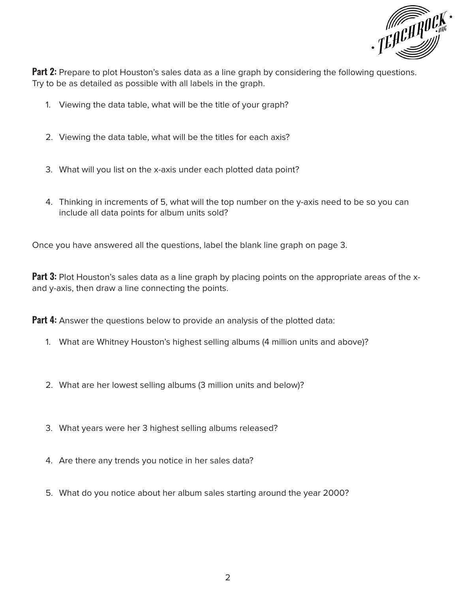

**Part 2:** Prepare to plot Houston's sales data as a line graph by considering the following questions. Try to be as detailed as possible with all labels in the graph.

- 1. Viewing the data table, what will be the title of your graph?
- 2. Viewing the data table, what will be the titles for each axis?
- 3. What will you list on the x-axis under each plotted data point?
- 4. Thinking in increments of 5, what will the top number on the y-axis need to be so you can include all data points for album units sold?

Once you have answered all the questions, label the blank line graph on page 3.

**Part 3:** Plot Houston's sales data as a line graph by placing points on the appropriate areas of the xand y-axis, then draw a line connecting the points.

**Part 4:** Answer the questions below to provide an analysis of the plotted data:

- 1. What are Whitney Houston's highest selling albums (4 million units and above)?
- 2. What are her lowest selling albums (3 million units and below)?
- 3. What years were her 3 highest selling albums released?
- 4. Are there any trends you notice in her sales data?
- 5. What do you notice about her album sales starting around the year 2000?